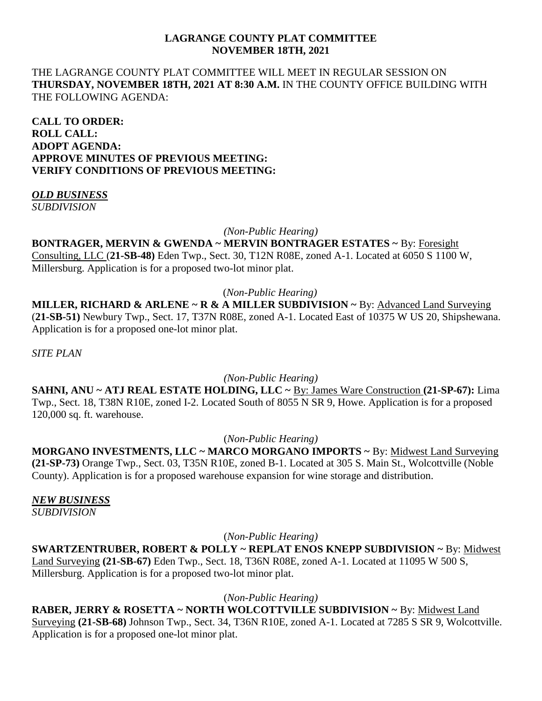## **LAGRANGE COUNTY PLAT COMMITTEE NOVEMBER 18TH, 2021**

## THE LAGRANGE COUNTY PLAT COMMITTEE WILL MEET IN REGULAR SESSION ON **THURSDAY, NOVEMBER 18TH, 2021 AT 8:30 A.M.** IN THE COUNTY OFFICE BUILDING WITH THE FOLLOWING AGENDA:

**CALL TO ORDER: ROLL CALL: ADOPT AGENDA: APPROVE MINUTES OF PREVIOUS MEETING: VERIFY CONDITIONS OF PREVIOUS MEETING:**

#### *OLD BUSINESS SUBDIVISION*

*(Non-Public Hearing)*

## **BONTRAGER, MERVIN & GWENDA ~ MERVIN BONTRAGER ESTATES ~** By: Foresight Consulting, LLC (**21-SB-48)** Eden Twp., Sect. 30, T12N R08E, zoned A-1. Located at 6050 S 1100 W, Millersburg. Application is for a proposed two-lot minor plat.

(*Non-Public Hearing)*

**MILLER, RICHARD & ARLENE ~ R & A MILLER SUBDIVISION ~** By: Advanced Land Surveying (**21-SB-51)** Newbury Twp., Sect. 17, T37N R08E, zoned A-1. Located East of 10375 W US 20, Shipshewana. Application is for a proposed one-lot minor plat.

*SITE PLAN*

*(Non-Public Hearing)*

**SAHNI, ANU ~ ATJ REAL ESTATE HOLDING, LLC ~** By: James Ware Construction **(21-SP-67):** Lima Twp., Sect. 18, T38N R10E, zoned I-2. Located South of 8055 N SR 9, Howe. Application is for a proposed 120,000 sq. ft. warehouse.

(*Non-Public Hearing)*

**MORGANO INVESTMENTS, LLC ~ MARCO MORGANO IMPORTS ~** By: Midwest Land Surveying **(21-SP-73)** Orange Twp., Sect. 03, T35N R10E, zoned B-1. Located at 305 S. Main St., Wolcottville (Noble County). Application is for a proposed warehouse expansion for wine storage and distribution.

# *NEW BUSINESS*

*SUBDIVISION*

(*Non-Public Hearing)*

**SWARTZENTRUBER, ROBERT & POLLY ~ REPLAT ENOS KNEPP SUBDIVISION ~** By: Midwest Land Surveying **(21-SB-67)** Eden Twp., Sect. 18, T36N R08E, zoned A-1. Located at 11095 W 500 S, Millersburg. Application is for a proposed two-lot minor plat.

(*Non-Public Hearing)*

**RABER, JERRY & ROSETTA ~ NORTH WOLCOTTVILLE SUBDIVISION ~** By: Midwest Land Surveying **(21-SB-68)** Johnson Twp., Sect. 34, T36N R10E, zoned A-1. Located at 7285 S SR 9, Wolcottville. Application is for a proposed one-lot minor plat.